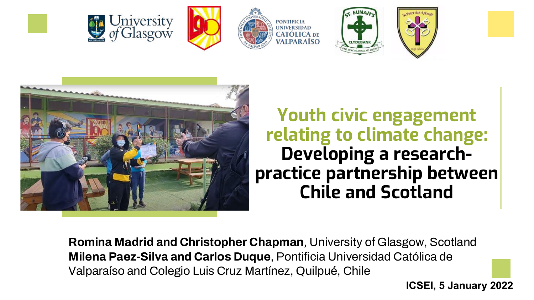







Youth civic engagement relating to climate change: Developing a researchpractice partnership between Chile and Scotland

Romina Madrid and Christopher Chapman, University of Glasgow, Scotland Milena Paez-Silva and Carlos Duque, Pontificia Universidad Católica de Valparaíso and Colegio Luis Cruz Martínez, Quilpué, Chile

**ICSEI, 5 January 2022**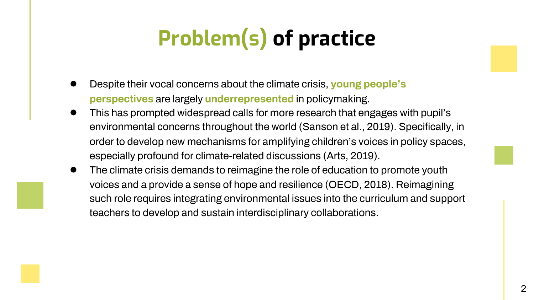## Problem(s) of practice

- Despite their vocal concerns about the climate crisis, young people's perspectives are largely underrepresented in policymaking.
- This has prompted widespread calls for more research that engages with pupil's environmental concerns throughout the world (Sanson et al., 2019). Specifically, in order to develop new mechanisms for amplifying children's voices in policy spaces, especially profound for climate-related discussions (Arts, 2019).
- The climate crisis demands to reimagine the role of education to promote youth voices and a provide a sense of hope and resilience (OECD, 2018). Reimagining such role requires integrating environmental issues into the curriculum and support teachers to develop and sustain interdisciplinary collaborations.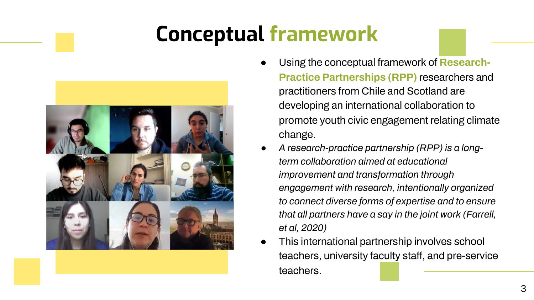## Conceptual framework



- Using the conceptual framework of Research-Practice Partnerships (RPP) researchers and practitioners from Chile and Scotland are developing an international collaboration to promote youth civic engagement relating climate change.
- A research-practice partnership (RPP) is a longterm collaboration aimed at educational improvement and transformation through engagement with research, intentionally organized to connect diverse forms of expertise and to ensure that all partners have a say in the joint work (Farrell, et al, 2020)
- This international partnership involves school teachers, university faculty staff, and pre-service teachers.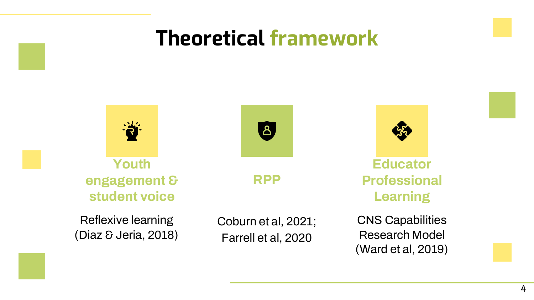#### Theoretical framework



(Ward et al, 2019)

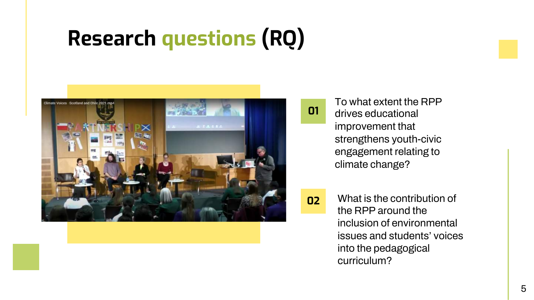## Research questions (RQ)



01

To what extent the RPP drives educational improvement that strengthens youth-civic engagement relating to climate change?

02

What is the contribution of the RPP around the inclusion of environmental issues and students' voices into the pedagogical curriculum?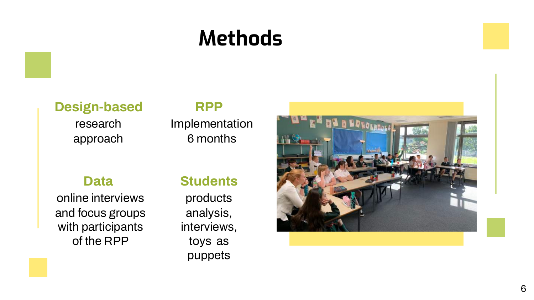## Methods

#### Design -based

research approach

#### RPP

Implementation 6 months

#### Data

online interviews and focus groups with participants of the RPP

#### **Students**

products analysis, interviews, toys as puppets

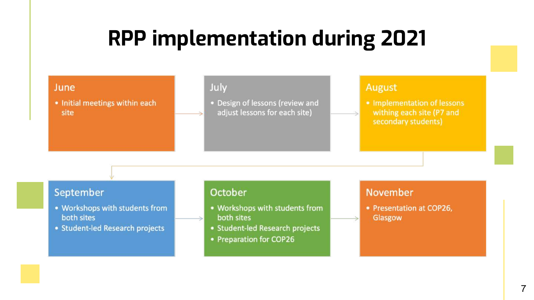## RPP implementation during 2021

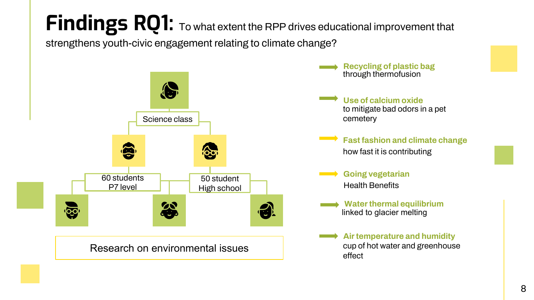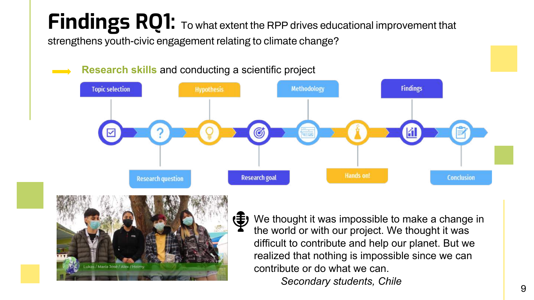## Findings RQ1: To what extent the RPP drives educational improvement that

strengthens youth-civic engagement relating to climate change?

#### **Research skills** and conducting a scientific project





We thought it was impossible to make a change in the world or with our project. We thought it was difficult to contribute and help our planet. But we realized that nothing is impossible since we can contribute or do what we can.

*Secondary students, Chile*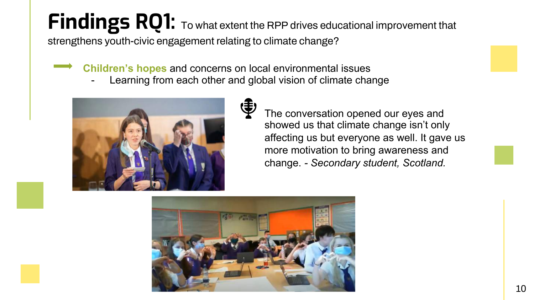#### Findings RQ1: To what extent the RPP drives educational improvement that strengthens youth-civic engagement relating to climate change?

**Children's hopes** and concerns on local environmental issues

Learning from each other and global vision of climate change



The conversation opened our eyes and showed us that climate change isn't only affecting us but everyone as well. It gave us more motivation to bring awareness and change. *- Secondary student, Scotland.*

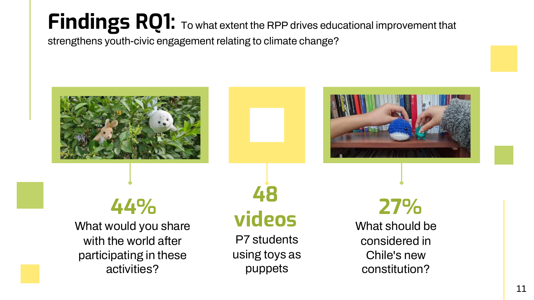## Findings RQ1: To what extent the RPP drives educational improvement that

strengthens youth-civic engagement relating to climate change?

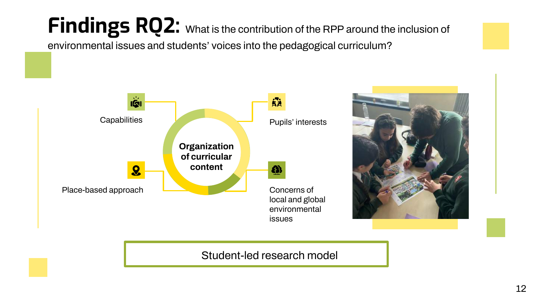## Findings RQ2: What is the contribution of the RPP around the inclusion of

environmental issues and students' voices into the pedagogical curriculum?





Student-led research model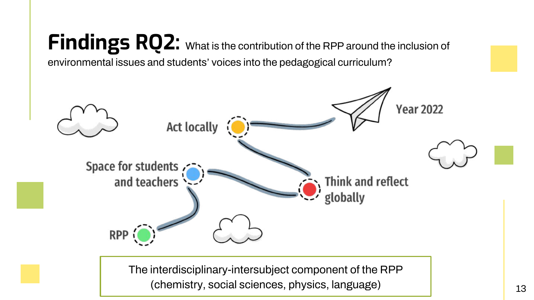#### Findings RQ2: What is the contribution of the RPP around the inclusion of environmental issues and students' voices into the pedagogical curriculum?



The interdisciplinary-intersubject component of the RPP (chemistry, social sciences, physics, language)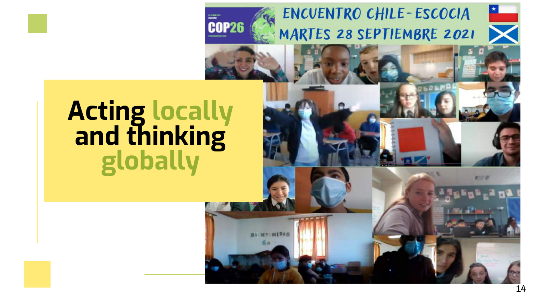

BL NT NIDES

**ENCUENTRO CHILE-ESCOCIA** MARTES 28 SEPTIEMBRE 2021



# Acting locally<br>and thinking<br>globally

14